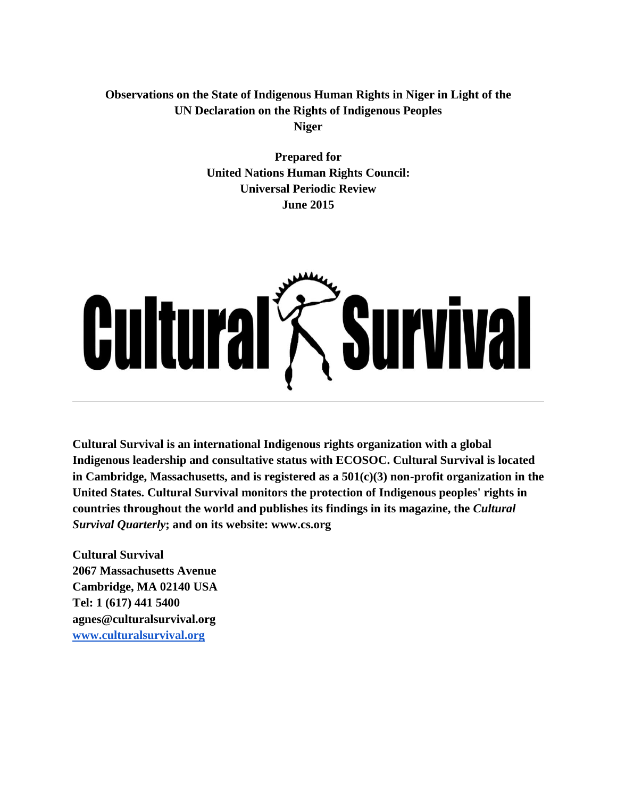# **Observations on the State of Indigenous Human Rights in Niger in Light of the UN Declaration on the Rights of Indigenous Peoples Niger**

**Prepared for United Nations Human Rights Council: Universal Periodic Review June 2015**



**Cultural Survival is an international Indigenous rights organization with a global Indigenous leadership and consultative status with ECOSOC. Cultural Survival is located in Cambridge, Massachusetts, and is registered as a 501(c)(3) non-profit organization in the United States. Cultural Survival monitors the protection of Indigenous peoples' rights in countries throughout the world and publishes its findings in its magazine, the** *Cultural Survival Quarterly***; and on its website: www.cs.org**

**Cultural Survival 2067 Massachusetts Avenue Cambridge, MA 02140 USA Tel: 1 (617) 441 5400 agnes@culturalsurvival.org [www.culturalsurvival.org](http://www.culturalsurvival.org/)**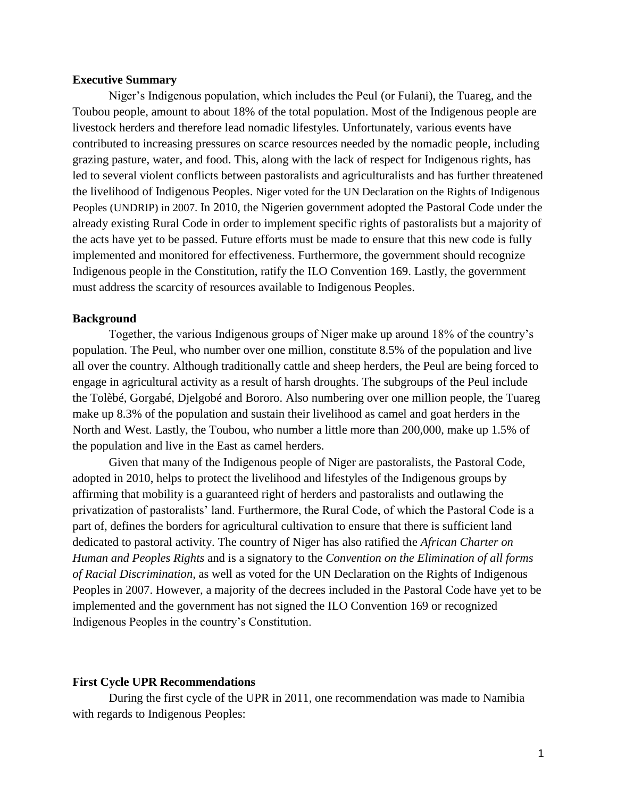### **Executive Summary**

Niger's Indigenous population, which includes the Peul (or Fulani), the Tuareg, and the Toubou people, amount to about 18% of the total population. Most of the Indigenous people are livestock herders and therefore lead nomadic lifestyles. Unfortunately, various events have contributed to increasing pressures on scarce resources needed by the nomadic people, including grazing pasture, water, and food. This, along with the lack of respect for Indigenous rights, has led to several violent conflicts between pastoralists and agriculturalists and has further threatened the livelihood of Indigenous Peoples. Niger voted for the UN Declaration on the Rights of Indigenous Peoples (UNDRIP) in 2007. In 2010, the Nigerien government adopted the Pastoral Code under the already existing Rural Code in order to implement specific rights of pastoralists but a majority of the acts have yet to be passed. Future efforts must be made to ensure that this new code is fully implemented and monitored for effectiveness. Furthermore, the government should recognize Indigenous people in the Constitution, ratify the ILO Convention 169. Lastly, the government must address the scarcity of resources available to Indigenous Peoples.

#### **Background**

Together, the various Indigenous groups of Niger make up around 18% of the country's population. The Peul, who number over one million, constitute 8.5% of the population and live all over the country. Although traditionally cattle and sheep herders, the Peul are being forced to engage in agricultural activity as a result of harsh droughts. The subgroups of the Peul include the Tolèbé, Gorgabé, Djelgobé and Bororo. Also numbering over one million people, the Tuareg make up 8.3% of the population and sustain their livelihood as camel and goat herders in the North and West. Lastly, the Toubou, who number a little more than 200,000, make up 1.5% of the population and live in the East as camel herders.

Given that many of the Indigenous people of Niger are pastoralists, the Pastoral Code, adopted in 2010, helps to protect the livelihood and lifestyles of the Indigenous groups by affirming that mobility is a guaranteed right of herders and pastoralists and outlawing the privatization of pastoralists' land. Furthermore, the Rural Code, of which the Pastoral Code is a part of, defines the borders for agricultural cultivation to ensure that there is sufficient land dedicated to pastoral activity. The country of Niger has also ratified the *African Charter on Human and Peoples Rights* and is a signatory to the *Convention on the Elimination of all forms of Racial Discrimination,* as well as voted for the UN Declaration on the Rights of Indigenous Peoples in 2007. However, a majority of the decrees included in the Pastoral Code have yet to be implemented and the government has not signed the ILO Convention 169 or recognized Indigenous Peoples in the country's Constitution.

#### **First Cycle UPR Recommendations**

During the first cycle of the UPR in 2011, one recommendation was made to Namibia with regards to Indigenous Peoples: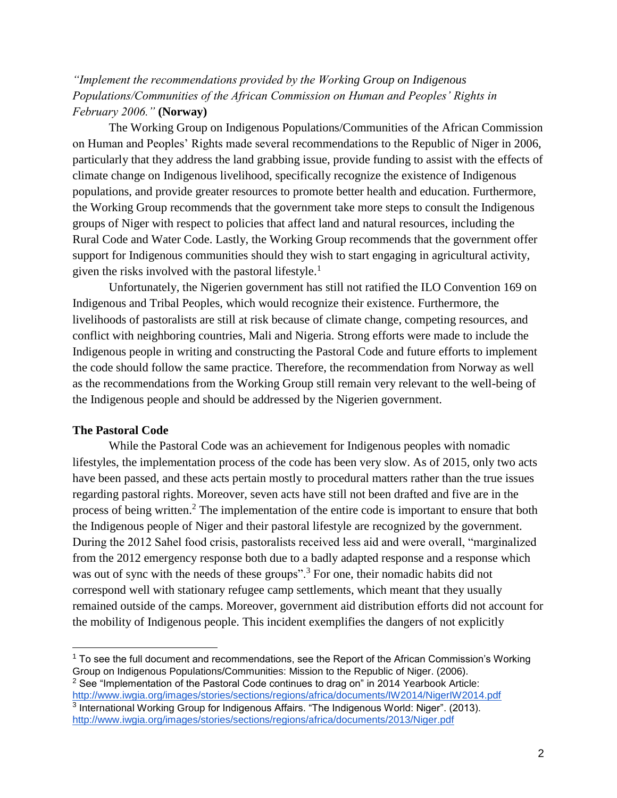# *"Implement the recommendations provided by the Working Group on Indigenous Populations/Communities of the African Commission on Human and Peoples' Rights in February 2006."* **(Norway)**

The Working Group on Indigenous Populations/Communities of the African Commission on Human and Peoples' Rights made several recommendations to the Republic of Niger in 2006, particularly that they address the land grabbing issue, provide funding to assist with the effects of climate change on Indigenous livelihood, specifically recognize the existence of Indigenous populations, and provide greater resources to promote better health and education. Furthermore, the Working Group recommends that the government take more steps to consult the Indigenous groups of Niger with respect to policies that affect land and natural resources, including the Rural Code and Water Code. Lastly, the Working Group recommends that the government offer support for Indigenous communities should they wish to start engaging in agricultural activity, given the risks involved with the pastoral lifestyle.<sup>1</sup>

Unfortunately, the Nigerien government has still not ratified the ILO Convention 169 on Indigenous and Tribal Peoples, which would recognize their existence. Furthermore, the livelihoods of pastoralists are still at risk because of climate change, competing resources, and conflict with neighboring countries, Mali and Nigeria. Strong efforts were made to include the Indigenous people in writing and constructing the Pastoral Code and future efforts to implement the code should follow the same practice. Therefore, the recommendation from Norway as well as the recommendations from the Working Group still remain very relevant to the well-being of the Indigenous people and should be addressed by the Nigerien government.

### **The Pastoral Code**

 $\overline{a}$ 

While the Pastoral Code was an achievement for Indigenous peoples with nomadic lifestyles, the implementation process of the code has been very slow. As of 2015, only two acts have been passed, and these acts pertain mostly to procedural matters rather than the true issues regarding pastoral rights. Moreover, seven acts have still not been drafted and five are in the process of being written.<sup>2</sup> The implementation of the entire code is important to ensure that both the Indigenous people of Niger and their pastoral lifestyle are recognized by the government. During the 2012 Sahel food crisis, pastoralists received less aid and were overall, "marginalized from the 2012 emergency response both due to a badly adapted response and a response which was out of sync with the needs of these groups".<sup>3</sup> For one, their nomadic habits did not correspond well with stationary refugee camp settlements, which meant that they usually remained outside of the camps. Moreover, government aid distribution efforts did not account for the mobility of Indigenous people. This incident exemplifies the dangers of not explicitly

 $<sup>1</sup>$  To see the full document and recommendations, see the Report of the African Commission's Working</sup> Group on Indigenous Populations/Communities: Mission to the Republic of Niger. (2006).  $2$  See "Implementation of the Pastoral Code continues to drag on" in 2014 Yearbook Article:

<http://www.iwgia.org/images/stories/sections/regions/africa/documents/IW2014/NigerIW2014.pdf> <sup>3</sup> International Working Group for Indigenous Affairs. "The Indigenous World: Niger". (2013). <http://www.iwgia.org/images/stories/sections/regions/africa/documents/2013/Niger.pdf>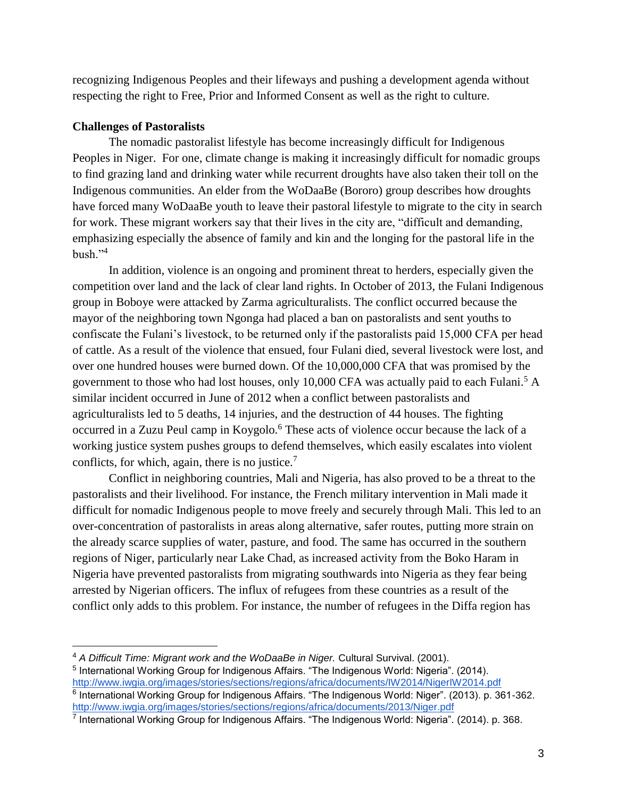recognizing Indigenous Peoples and their lifeways and pushing a development agenda without respecting the right to Free, Prior and Informed Consent as well as the right to culture.

## **Challenges of Pastoralists**

The nomadic pastoralist lifestyle has become increasingly difficult for Indigenous Peoples in Niger. For one, climate change is making it increasingly difficult for nomadic groups to find grazing land and drinking water while recurrent droughts have also taken their toll on the Indigenous communities. An elder from the WoDaaBe (Bororo) group describes how droughts have forced many WoDaaBe youth to leave their pastoral lifestyle to migrate to the city in search for work. These migrant workers say that their lives in the city are, "difficult and demanding, emphasizing especially the absence of family and kin and the longing for the pastoral life in the  $bush.$ <sup>24</sup>

In addition, violence is an ongoing and prominent threat to herders, especially given the competition over land and the lack of clear land rights. In October of 2013, the Fulani Indigenous group in Boboye were attacked by Zarma agriculturalists. The conflict occurred because the mayor of the neighboring town Ngonga had placed a ban on pastoralists and sent youths to confiscate the Fulani's livestock, to be returned only if the pastoralists paid 15,000 CFA per head of cattle. As a result of the violence that ensued, four Fulani died, several livestock were lost, and over one hundred houses were burned down. Of the 10,000,000 CFA that was promised by the government to those who had lost houses, only 10,000 CFA was actually paid to each Fulani.<sup>5</sup> A similar incident occurred in June of 2012 when a conflict between pastoralists and agriculturalists led to 5 deaths, 14 injuries, and the destruction of 44 houses. The fighting occurred in a Zuzu Peul camp in Koygolo.<sup>6</sup> These acts of violence occur because the lack of a working justice system pushes groups to defend themselves, which easily escalates into violent conflicts, for which, again, there is no justice.<sup>7</sup>

Conflict in neighboring countries, Mali and Nigeria, has also proved to be a threat to the pastoralists and their livelihood. For instance, the French military intervention in Mali made it difficult for nomadic Indigenous people to move freely and securely through Mali. This led to an over-concentration of pastoralists in areas along alternative, safer routes, putting more strain on the already scarce supplies of water, pasture, and food. The same has occurred in the southern regions of Niger, particularly near Lake Chad, as increased activity from the Boko Haram in Nigeria have prevented pastoralists from migrating southwards into Nigeria as they fear being arrested by Nigerian officers. The influx of refugees from these countries as a result of the conflict only adds to this problem. For instance, the number of refugees in the Diffa region has

<sup>4</sup> *A Difficult Time: Migrant work and the WoDaaBe in Niger.* Cultural Survival. (2001).

<sup>&</sup>lt;sup>5</sup> International Working Group for Indigenous Affairs. "The Indigenous World: Nigeria". (2014). <http://www.iwgia.org/images/stories/sections/regions/africa/documents/IW2014/NigerIW2014.pdf> <sup>6</sup> International Working Group for Indigenous Affairs. "The Indigenous World: Niger". (2013). p. 361-362. <http://www.iwgia.org/images/stories/sections/regions/africa/documents/2013/Niger.pdf>

<sup>&</sup>lt;sup>7</sup> International Working Group for Indigenous Affairs. "The Indigenous World: Nigeria". (2014). p. 368.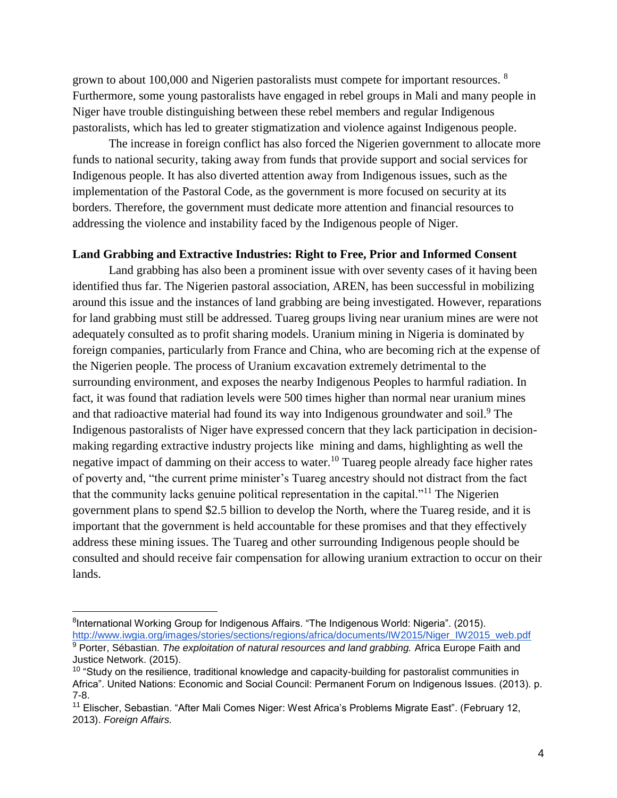grown to about 100,000 and Nigerien pastoralists must compete for important resources. <sup>8</sup> Furthermore, some young pastoralists have engaged in rebel groups in Mali and many people in Niger have trouble distinguishing between these rebel members and regular Indigenous pastoralists, which has led to greater stigmatization and violence against Indigenous people.

The increase in foreign conflict has also forced the Nigerien government to allocate more funds to national security, taking away from funds that provide support and social services for Indigenous people. It has also diverted attention away from Indigenous issues, such as the implementation of the Pastoral Code, as the government is more focused on security at its borders. Therefore, the government must dedicate more attention and financial resources to addressing the violence and instability faced by the Indigenous people of Niger.

## **Land Grabbing and Extractive Industries: Right to Free, Prior and Informed Consent**

Land grabbing has also been a prominent issue with over seventy cases of it having been identified thus far. The Nigerien pastoral association, AREN, has been successful in mobilizing around this issue and the instances of land grabbing are being investigated. However, reparations for land grabbing must still be addressed. Tuareg groups living near uranium mines are were not adequately consulted as to profit sharing models. Uranium mining in Nigeria is dominated by foreign companies, particularly from France and China, who are becoming rich at the expense of the Nigerien people. The process of Uranium excavation extremely detrimental to the surrounding environment, and exposes the nearby Indigenous Peoples to harmful radiation. In fact, it was found that radiation levels were 500 times higher than normal near uranium mines and that radioactive material had found its way into Indigenous groundwater and soil.<sup>9</sup> The Indigenous pastoralists of Niger have expressed concern that they lack participation in decisionmaking regarding extractive industry projects like mining and dams, highlighting as well the negative impact of damming on their access to water.<sup>10</sup> Tuareg people already face higher rates of poverty and, "the current prime minister's Tuareg ancestry should not distract from the fact that the community lacks genuine political representation in the capital."<sup>11</sup> The Nigerien government plans to spend \$2.5 billion to develop the North, where the Tuareg reside, and it is important that the government is held accountable for these promises and that they effectively address these mining issues. The Tuareg and other surrounding Indigenous people should be consulted and should receive fair compensation for allowing uranium extraction to occur on their lands.

 $\overline{a}$ 

<sup>&</sup>lt;sup>8</sup>International Working Group for Indigenous Affairs. "The Indigenous World: Nigeria". (2015). [http://www.iwgia.org/images/stories/sections/regions/africa/documents/IW2015/Niger\\_IW2015\\_web.pdf](http://www.iwgia.org/images/stories/sections/regions/africa/documents/IW2015/Niger_IW2015_web.pdf)

<sup>9</sup> Porter, Sébastian. *The exploitation of natural resources and land grabbing.* Africa Europe Faith and Justice Network. (2015).

 $10$  "Study on the resilience, traditional knowledge and capacity-building for pastoralist communities in Africa". United Nations: Economic and Social Council: Permanent Forum on Indigenous Issues. (2013). p. 7-8.

<sup>11</sup> Elischer, Sebastian. "After Mali Comes Niger: West Africa's Problems Migrate East". (February 12, 2013). *Foreign Affairs.*